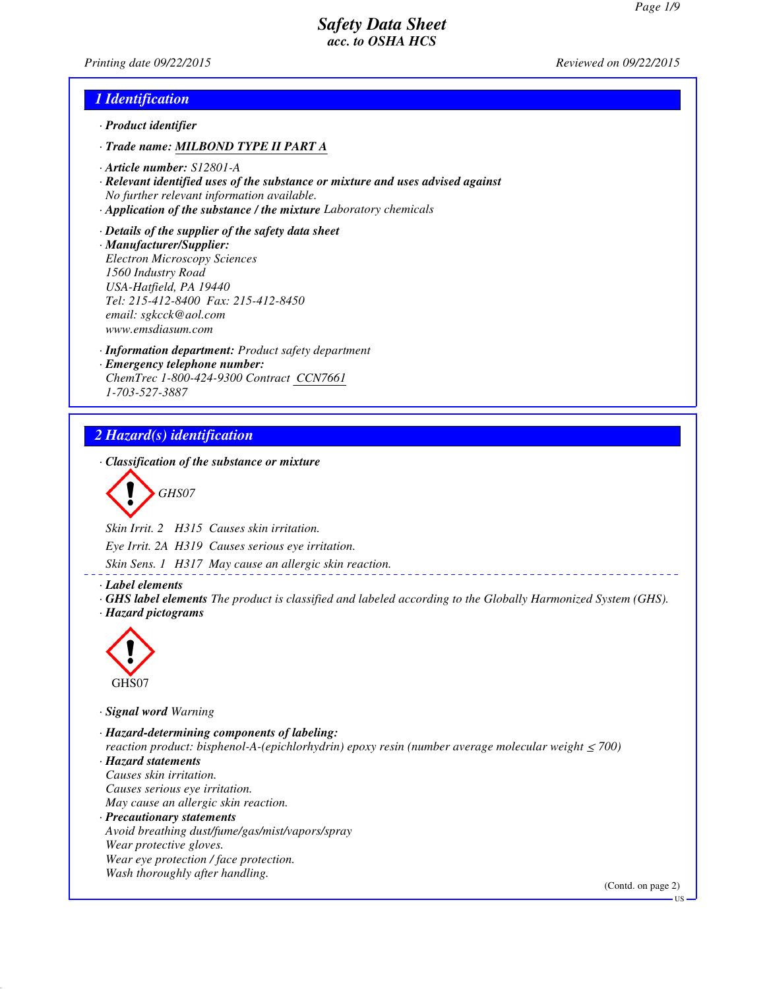*Printing date 09/22/2015 Reviewed on 09/22/2015*

## *1 Identification*

- *· Product identifier*
- *· Trade name: MILBOND TYPE II PART A*
- *· Article number: S12801-A*
- *· Relevant identified uses of the substance or mixture and uses advised against No further relevant information available.*
- *· Application of the substance / the mixture Laboratory chemicals*
- *· Details of the supplier of the safety data sheet · Manufacturer/Supplier: Electron Microscopy Sciences 1560 Industry Road USA-Hatfield, PA 19440 Tel: 215-412-8400 Fax: 215-412-8450 email: sgkcck@aol.com www.emsdiasum.com*
- *· Information department: Product safety department · Emergency telephone number: ChemTrec 1-800-424-9300 Contract CCN7661 1-703-527-3887*

## *2 Hazard(s) identification*

*· Classification of the substance or mixture*

*GHS07*

*Skin Irrit. 2 H315 Causes skin irritation.*

*Eye Irrit. 2A H319 Causes serious eye irritation.*

*Skin Sens. 1 H317 May cause an allergic skin reaction.*

*· Label elements*

*· GHS label elements The product is classified and labeled according to the Globally Harmonized System (GHS). · Hazard pictograms*



*· Signal word Warning*

*· Hazard-determining components of labeling: reaction product: bisphenol-A-(epichlorhydrin) epoxy resin (number average molecular weight ≤ 700) · Hazard statements Causes skin irritation. Causes serious eye irritation. May cause an allergic skin reaction. · Precautionary statements Avoid breathing dust/fume/gas/mist/vapors/spray Wear protective gloves. Wear eye protection / face protection. Wash thoroughly after handling.* (Contd. on page 2)

US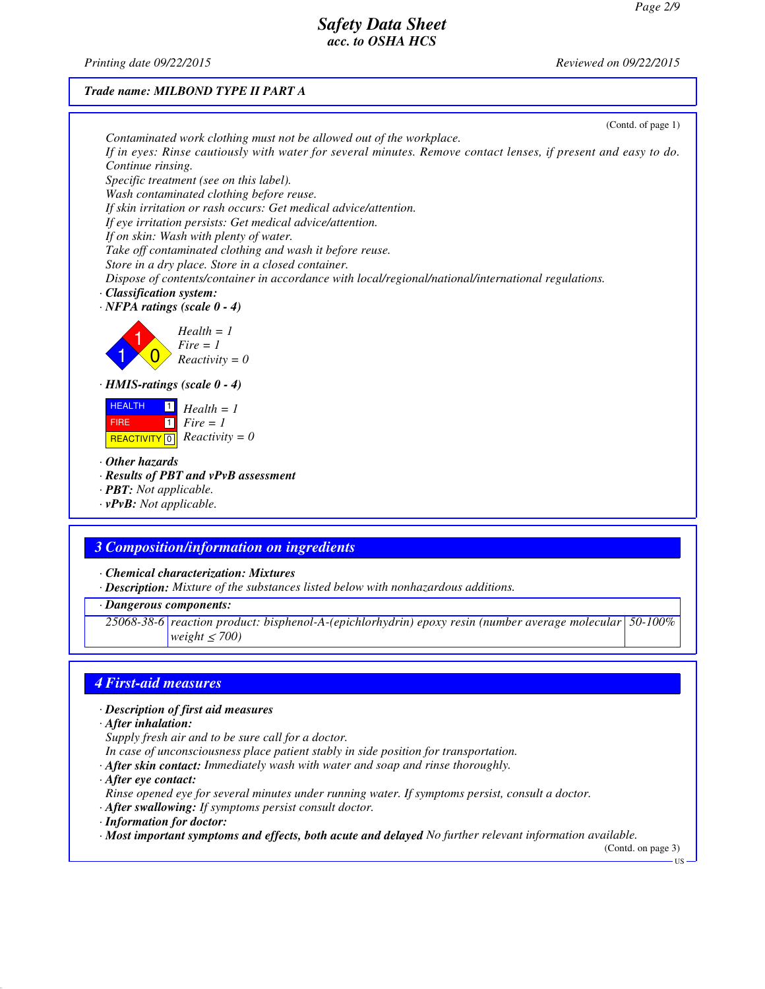*Printing date 09/22/2015 Reviewed on 09/22/2015*

### *Trade name: MILBOND TYPE II PART A*



## *3 Composition/information on ingredients*

*· Chemical characterization: Mixtures*

*· Description: Mixture of the substances listed below with nonhazardous additions.*

*· Dangerous components:*

*25068-38-6 reaction product: bisphenol-A-(epichlorhydrin) epoxy resin (number average molecular 50-100% weight* ≤ *700)*

## *4 First-aid measures*

- *· Description of first aid measures*
- *· After inhalation:*
- *Supply fresh air and to be sure call for a doctor.*
- *In case of unconsciousness place patient stably in side position for transportation.*
- *· After skin contact: Immediately wash with water and soap and rinse thoroughly.*
- *· After eye contact:*
- *Rinse opened eye for several minutes under running water. If symptoms persist, consult a doctor.*
- *· After swallowing: If symptoms persist consult doctor.*
- *· Information for doctor:*

*· Most important symptoms and effects, both acute and delayed No further relevant information available.*

(Contd. on page 3)

US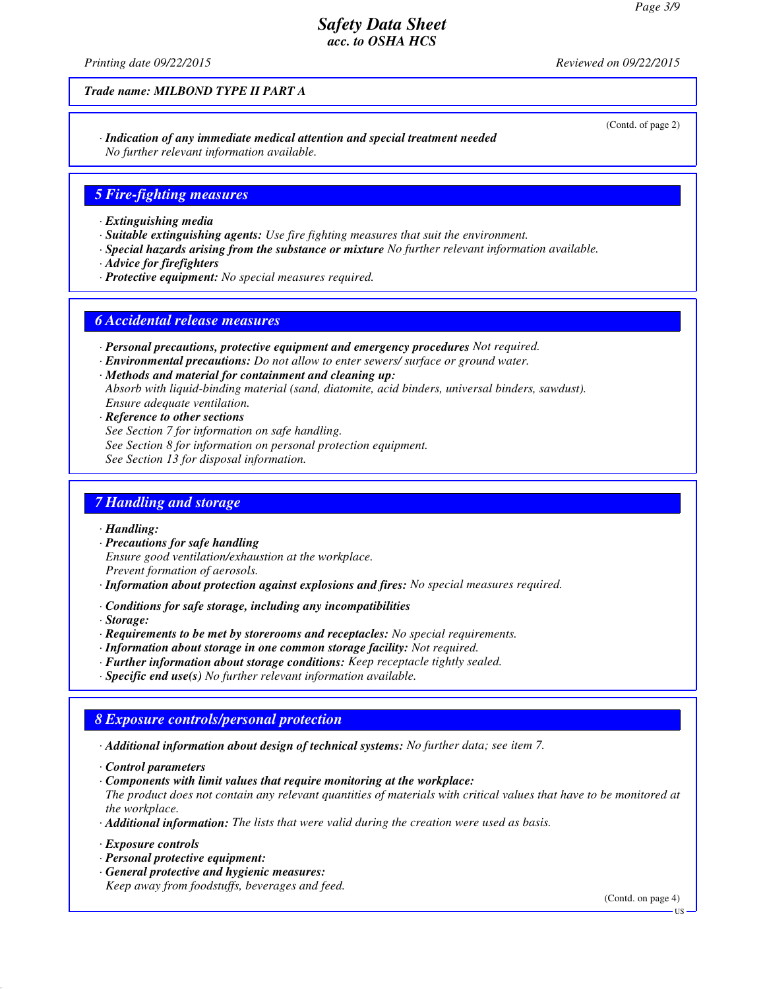*Printing date 09/22/2015 Reviewed on 09/22/2015*

*Trade name: MILBOND TYPE II PART A*

*· Indication of any immediate medical attention and special treatment needed No further relevant information available.*

### *5 Fire-fighting measures*

- *· Extinguishing media*
- *· Suitable extinguishing agents: Use fire fighting measures that suit the environment.*
- *· Special hazards arising from the substance or mixture No further relevant information available.*
- *· Advice for firefighters*
- *· Protective equipment: No special measures required.*

#### *6 Accidental release measures*

- *· Personal precautions, protective equipment and emergency procedures Not required.*
- *· Environmental precautions: Do not allow to enter sewers/ surface or ground water.*
- *· Methods and material for containment and cleaning up: Absorb with liquid-binding material (sand, diatomite, acid binders, universal binders, sawdust). Ensure adequate ventilation.*
- *· Reference to other sections*
- *See Section 7 for information on safe handling.*
- *See Section 8 for information on personal protection equipment.*
- *See Section 13 for disposal information.*

### *7 Handling and storage*

#### *· Handling:*

- *· Precautions for safe handling Ensure good ventilation/exhaustion at the workplace. Prevent formation of aerosols.*
- *· Information about protection against explosions and fires: No special measures required.*
- *· Conditions for safe storage, including any incompatibilities*

*· Storage:*

- *· Requirements to be met by storerooms and receptacles: No special requirements.*
- *· Information about storage in one common storage facility: Not required.*
- *· Further information about storage conditions: Keep receptacle tightly sealed.*
- *· Specific end use(s) No further relevant information available.*

### *8 Exposure controls/personal protection*

*· Additional information about design of technical systems: No further data; see item 7.*

*· Control parameters*

*· Components with limit values that require monitoring at the workplace:*

*The product does not contain any relevant quantities of materials with critical values that have to be monitored at the workplace.*

- *· Additional information: The lists that were valid during the creation were used as basis.*
- *· Exposure controls*
- *· Personal protective equipment:*
- *· General protective and hygienic measures: Keep away from foodstuffs, beverages and feed.*

(Contd. on page 4)

(Contd. of page 2)

US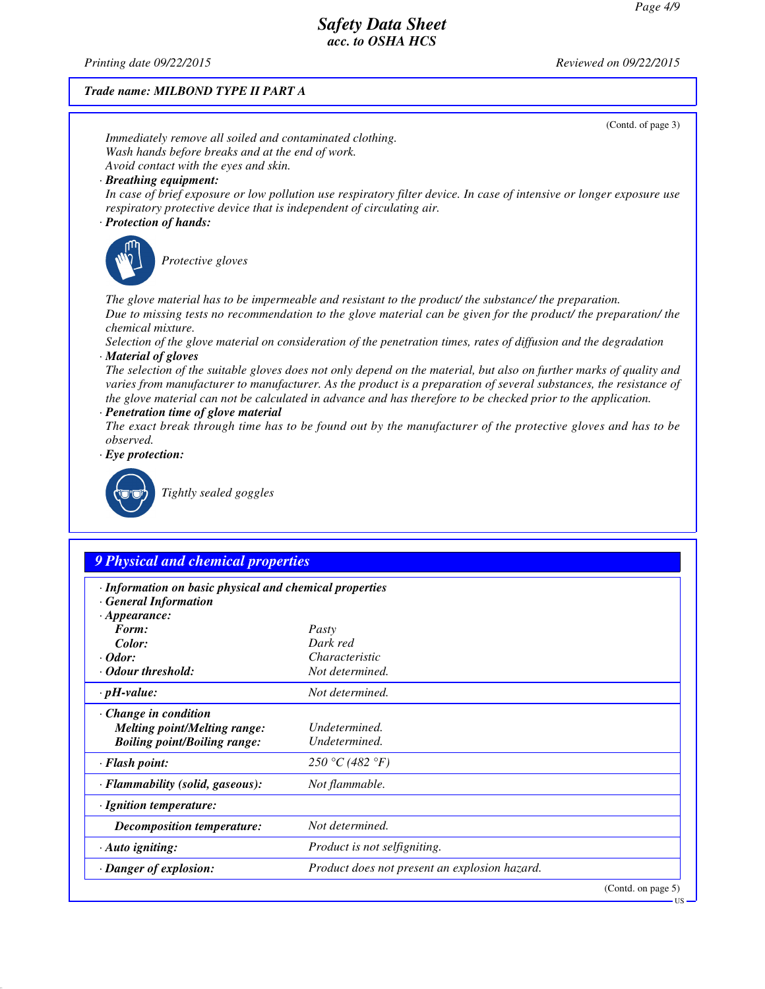*Printing date 09/22/2015 Reviewed on 09/22/2015*

## *Trade name: MILBOND TYPE II PART A*

|                                                                                  | (Contd. of page 3)                                                                                                                                                                                                                                                                                                                                         |  |  |  |
|----------------------------------------------------------------------------------|------------------------------------------------------------------------------------------------------------------------------------------------------------------------------------------------------------------------------------------------------------------------------------------------------------------------------------------------------------|--|--|--|
| Immediately remove all soiled and contaminated clothing.                         |                                                                                                                                                                                                                                                                                                                                                            |  |  |  |
| Wash hands before breaks and at the end of work.                                 |                                                                                                                                                                                                                                                                                                                                                            |  |  |  |
| Avoid contact with the eyes and skin.<br>· Breathing equipment:                  |                                                                                                                                                                                                                                                                                                                                                            |  |  |  |
| · Protection of hands:                                                           | In case of brief exposure or low pollution use respiratory filter device. In case of intensive or longer exposure use<br>respiratory protective device that is independent of circulating air.                                                                                                                                                             |  |  |  |
|                                                                                  |                                                                                                                                                                                                                                                                                                                                                            |  |  |  |
| Protective gloves                                                                |                                                                                                                                                                                                                                                                                                                                                            |  |  |  |
| chemical mixture.                                                                | The glove material has to be impermeable and resistant to the product/ the substance/ the preparation.<br>Due to missing tests no recommendation to the glove material can be given for the product/ the preparation/ the                                                                                                                                  |  |  |  |
|                                                                                  | Selection of the glove material on consideration of the penetration times, rates of diffusion and the degradation                                                                                                                                                                                                                                          |  |  |  |
| · Material of gloves                                                             |                                                                                                                                                                                                                                                                                                                                                            |  |  |  |
| · Penetration time of glove material                                             | The selection of the suitable gloves does not only depend on the material, but also on further marks of quality and<br>varies from manufacturer to manufacturer. As the product is a preparation of several substances, the resistance of<br>the glove material can not be calculated in advance and has therefore to be checked prior to the application. |  |  |  |
|                                                                                  | The exact break through time has to be found out by the manufacturer of the protective gloves and has to be                                                                                                                                                                                                                                                |  |  |  |
| observed.                                                                        |                                                                                                                                                                                                                                                                                                                                                            |  |  |  |
| $\cdot$ Eye protection:                                                          |                                                                                                                                                                                                                                                                                                                                                            |  |  |  |
| Tightly sealed goggles                                                           |                                                                                                                                                                                                                                                                                                                                                            |  |  |  |
|                                                                                  |                                                                                                                                                                                                                                                                                                                                                            |  |  |  |
|                                                                                  |                                                                                                                                                                                                                                                                                                                                                            |  |  |  |
| <b>9 Physical and chemical properties</b>                                        |                                                                                                                                                                                                                                                                                                                                                            |  |  |  |
| · Information on basic physical and chemical properties<br>· General Information |                                                                                                                                                                                                                                                                                                                                                            |  |  |  |
| $\cdot$ Appearance:                                                              |                                                                                                                                                                                                                                                                                                                                                            |  |  |  |
| Form:                                                                            | Pasty<br>Dark red                                                                                                                                                                                                                                                                                                                                          |  |  |  |
| Color:<br>$\cdot$ Odor:                                                          | Characteristic                                                                                                                                                                                                                                                                                                                                             |  |  |  |
| · Odour threshold:                                                               | Not determined.                                                                                                                                                                                                                                                                                                                                            |  |  |  |
| $\cdot$ pH-value:                                                                | Not determined.                                                                                                                                                                                                                                                                                                                                            |  |  |  |
|                                                                                  |                                                                                                                                                                                                                                                                                                                                                            |  |  |  |
| Change in condition<br><b>Melting point/Melting range:</b>                       | Undetermined.                                                                                                                                                                                                                                                                                                                                              |  |  |  |
| <b>Boiling point/Boiling range:</b>                                              | Undetermined.                                                                                                                                                                                                                                                                                                                                              |  |  |  |
| · Flash point:                                                                   | 250 °C (482 °F)                                                                                                                                                                                                                                                                                                                                            |  |  |  |
| · Flammability (solid, gaseous):                                                 |                                                                                                                                                                                                                                                                                                                                                            |  |  |  |
|                                                                                  |                                                                                                                                                                                                                                                                                                                                                            |  |  |  |
|                                                                                  | Not flammable.                                                                                                                                                                                                                                                                                                                                             |  |  |  |
| · Ignition temperature:                                                          |                                                                                                                                                                                                                                                                                                                                                            |  |  |  |
| <b>Decomposition temperature:</b>                                                | Not determined.                                                                                                                                                                                                                                                                                                                                            |  |  |  |
| · Auto igniting:                                                                 | Product is not selfigniting.                                                                                                                                                                                                                                                                                                                               |  |  |  |
| · Danger of explosion:                                                           | Product does not present an explosion hazard.<br>(Contd. on page 5)                                                                                                                                                                                                                                                                                        |  |  |  |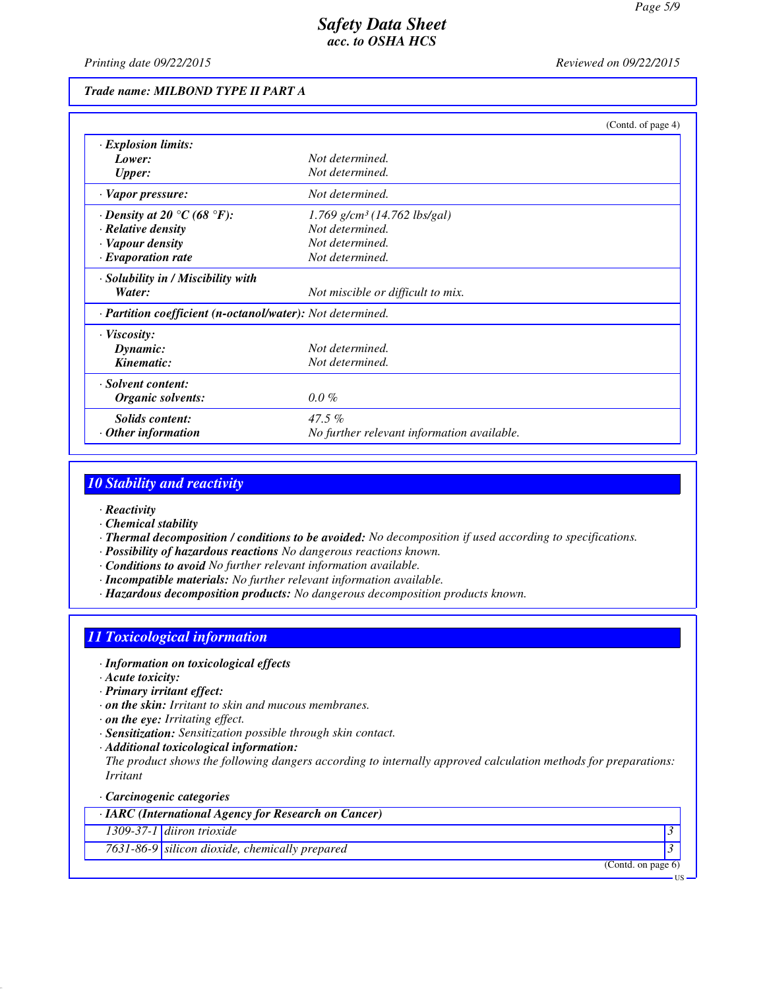*Printing date 09/22/2015 Reviewed on 09/22/2015*

### *Trade name: MILBOND TYPE II PART A*

|                                                            |                                            | (Contd. of page 4) |
|------------------------------------------------------------|--------------------------------------------|--------------------|
| · Explosion limits:                                        |                                            |                    |
| Lower:                                                     | Not determined.                            |                    |
| <b>Upper:</b>                                              | Not determined.                            |                    |
| · Vapor pressure:                                          | Not determined.                            |                    |
| $\cdot$ Density at 20 $\degree$ C (68 $\degree$ F):        | $1.769$ g/cm <sup>3</sup> (14.762 lbs/gal) |                    |
| · Relative density                                         | Not determined.                            |                    |
| · Vapour density                                           | Not determined.                            |                    |
| $\cdot$ Evaporation rate                                   | Not determined.                            |                    |
| · Solubility in / Miscibility with                         |                                            |                    |
| Water:                                                     | Not miscible or difficult to mix.          |                    |
| · Partition coefficient (n-octanol/water): Not determined. |                                            |                    |
| $\cdot$ Viscosity:                                         |                                            |                    |
| Dynamic:                                                   | Not determined.                            |                    |
| Kinematic:                                                 | Not determined.                            |                    |
| · Solvent content:                                         |                                            |                    |
| Organic solvents:                                          | $0.0\%$                                    |                    |
| Solids content:                                            | $47.5\%$                                   |                    |
| Other information                                          | No further relevant information available. |                    |

### *10 Stability and reactivity*

- *· Reactivity*
- *· Chemical stability*
- *· Thermal decomposition / conditions to be avoided: No decomposition if used according to specifications.*
- *· Possibility of hazardous reactions No dangerous reactions known.*
- *· Conditions to avoid No further relevant information available.*
- *· Incompatible materials: No further relevant information available.*
- *· Hazardous decomposition products: No dangerous decomposition products known.*

## *11 Toxicological information*

- *· Information on toxicological effects*
- *· Acute toxicity:*
- *· Primary irritant effect:*
- *· on the skin: Irritant to skin and mucous membranes.*
- *· on the eye: Irritating effect.*
- *· Sensitization: Sensitization possible through skin contact.*
- *· Additional toxicological information:*
- *The product shows the following dangers according to internally approved calculation methods for preparations: Irritant*
- *· Carcinogenic categories*

*· IARC (International Agency for Research on Cancer)*

*1309-37-1 diiron trioxide 3* 

*7631-86-9 silicon dioxide, chemically prepared 3* 

(Contd. on page 6)

US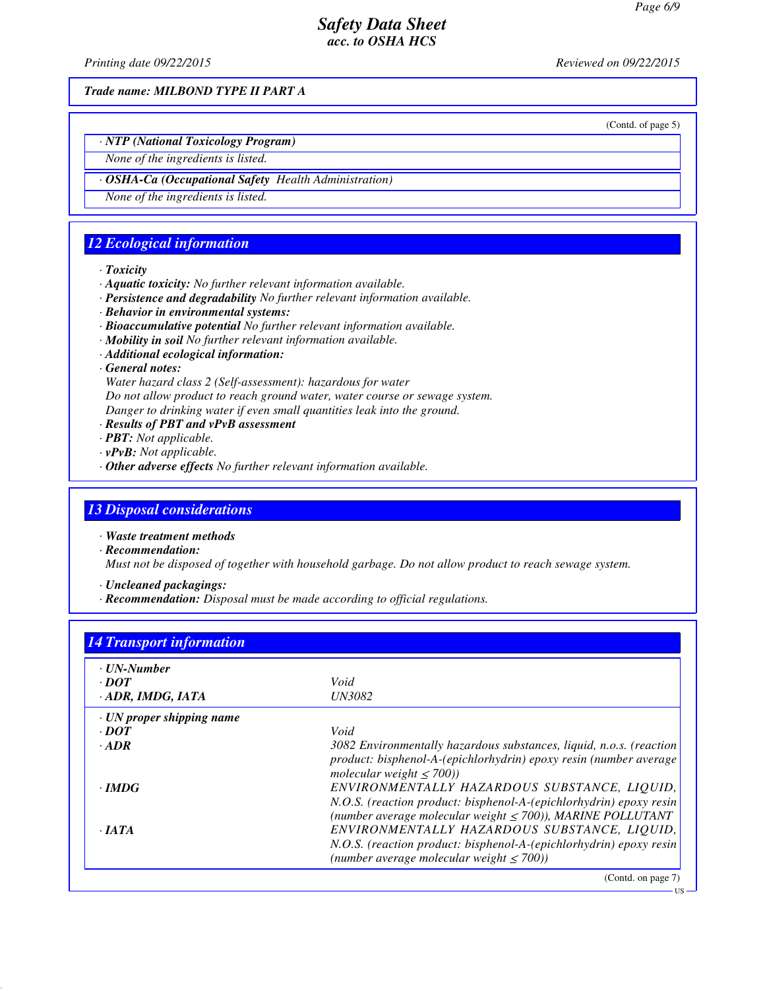*Printing date 09/22/2015 Reviewed on 09/22/2015*

*Trade name: MILBOND TYPE II PART A*

(Contd. of page 5)

- *· NTP (National Toxicology Program)*
- *None of the ingredients is listed.*
- *· OSHA-Ca (Occupational Safety Health Administration)*
- *None of the ingredients is listed.*

## *12 Ecological information*

#### *· Toxicity*

- *· Aquatic toxicity: No further relevant information available.*
- *· Persistence and degradability No further relevant information available.*
- *· Behavior in environmental systems:*
- *· Bioaccumulative potential No further relevant information available.*
- *· Mobility in soil No further relevant information available.*
- *· Additional ecological information:*
- *· General notes:*

*Water hazard class 2 (Self-assessment): hazardous for water Do not allow product to reach ground water, water course or sewage system. Danger to drinking water if even small quantities leak into the ground.*

- *· Results of PBT and vPvB assessment*
- *· PBT: Not applicable.*
- *· vPvB: Not applicable.*
- *· Other adverse effects No further relevant information available.*

## *13 Disposal considerations*

*· Waste treatment methods*

*· Recommendation:*

*Must not be disposed of together with household garbage. Do not allow product to reach sewage system.*

*· Uncleaned packagings:*

*· Recommendation: Disposal must be made according to official regulations.*

| · UN-Number                     |                                                                                                                                                                                       |
|---------------------------------|---------------------------------------------------------------------------------------------------------------------------------------------------------------------------------------|
| $\cdot$ <i>DOT</i>              | Void                                                                                                                                                                                  |
| $\cdot$ ADR, IMDG, IATA         | <i>UN3082</i>                                                                                                                                                                         |
| $\cdot$ UN proper shipping name |                                                                                                                                                                                       |
| $\cdot$ <i>DOT</i>              | Void                                                                                                                                                                                  |
| $\cdot$ ADR                     | 3082 Environmentally hazardous substances, liquid, n.o.s. (reaction<br>product: bisphenol-A-(epichlorhydrin) epoxy resin (number average<br>molecular weight $\leq$ 700))             |
| $\cdot$ IMDG                    | ENVIRONMENTALLY HAZARDOUS SUBSTANCE, LIQUID,<br>N.O.S. (reaction product: bisphenol-A-(epichlorhydrin) epoxy resin<br>(number average molecular weight $\leq$ 700)), MARINE POLLUTANT |
| $\cdot$ JATA                    | ENVIRONMENTALLY HAZARDOUS SUBSTANCE, LIQUID,<br>N.O.S. (reaction product: bisphenol-A-(epichlorhydrin) epoxy resin<br>(number average molecular weight $\leq$ 700))                   |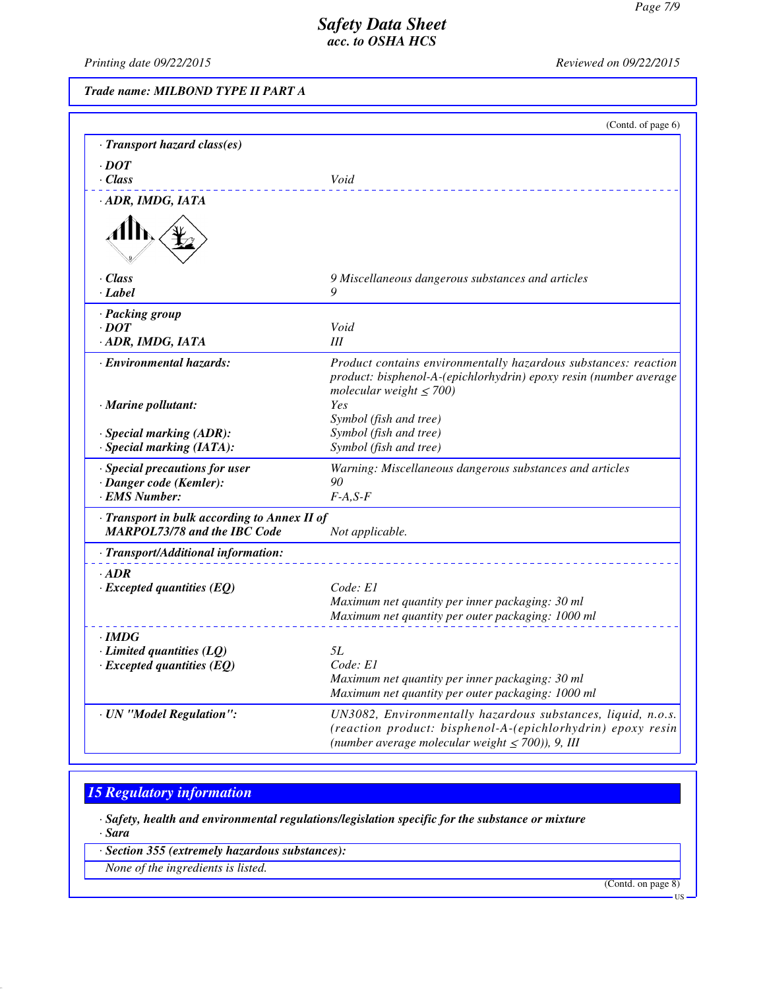*Printing date 09/22/2015 Reviewed on 09/22/2015*

(Contd. of page 6)

*Trade name: MILBOND TYPE II PART A*

| · Transport hazard class(es)                                                        |                                                                                                                                                                                      |
|-------------------------------------------------------------------------------------|--------------------------------------------------------------------------------------------------------------------------------------------------------------------------------------|
| $\cdot$ DOT                                                                         |                                                                                                                                                                                      |
| $\cdot$ Class                                                                       | Void                                                                                                                                                                                 |
| · ADR, IMDG, IATA                                                                   |                                                                                                                                                                                      |
|                                                                                     |                                                                                                                                                                                      |
| · Class<br>· Label                                                                  | 9 Miscellaneous dangerous substances and articles<br>Q                                                                                                                               |
|                                                                                     |                                                                                                                                                                                      |
| · Packing group<br>$\cdot$ DOT                                                      | Void                                                                                                                                                                                 |
| · ADR, IMDG, IATA                                                                   | III                                                                                                                                                                                  |
| · Environmental hazards:                                                            | Product contains environmentally hazardous substances: reaction<br>product: bisphenol-A-(epichlorhydrin) epoxy resin (number average<br>molecular weight $\leq 700$ )                |
| $\cdot$ Marine pollutant:                                                           | Yes<br>Symbol (fish and tree)                                                                                                                                                        |
| · Special marking (ADR):                                                            | Symbol (fish and tree)                                                                                                                                                               |
| · Special marking (IATA):                                                           | Symbol (fish and tree)                                                                                                                                                               |
| · Special precautions for user                                                      | Warning: Miscellaneous dangerous substances and articles                                                                                                                             |
| · Danger code (Kemler):<br>· EMS Number:                                            | 90<br>$F-A, S-F$                                                                                                                                                                     |
|                                                                                     |                                                                                                                                                                                      |
| · Transport in bulk according to Annex II of<br><b>MARPOL73/78 and the IBC Code</b> | Not applicable.                                                                                                                                                                      |
| · Transport/Additional information:                                                 |                                                                                                                                                                                      |
| $-ADR$<br>$\cdot$ Excepted quantities (EQ)                                          | Code: E1<br>Maximum net quantity per inner packaging: 30 ml<br>Maximum net quantity per outer packaging: 1000 ml                                                                     |
| $\cdot$ IMDG                                                                        |                                                                                                                                                                                      |
| $\cdot$ Limited quantities (LQ)                                                     | <i>5L</i>                                                                                                                                                                            |
| $\cdot$ Excepted quantities (EQ)                                                    | Code: E1<br>Maximum net quantity per inner packaging: 30 ml<br>Maximum net quantity per outer packaging: 1000 ml                                                                     |
| · UN "Model Regulation":                                                            | UN3082, Environmentally hazardous substances, liquid, n.o.s.<br>(reaction product: bisphenol-A-(epichlorhydrin) epoxy resin<br>(number average molecular weight $\leq$ 700)), 9, III |

# *15 Regulatory information*

*· Safety, health and environmental regulations/legislation specific for the substance or mixture*

*· Sara*

*· Section 355 (extremely hazardous substances):*

*None of the ingredients is listed.*

(Contd. on page 8)

US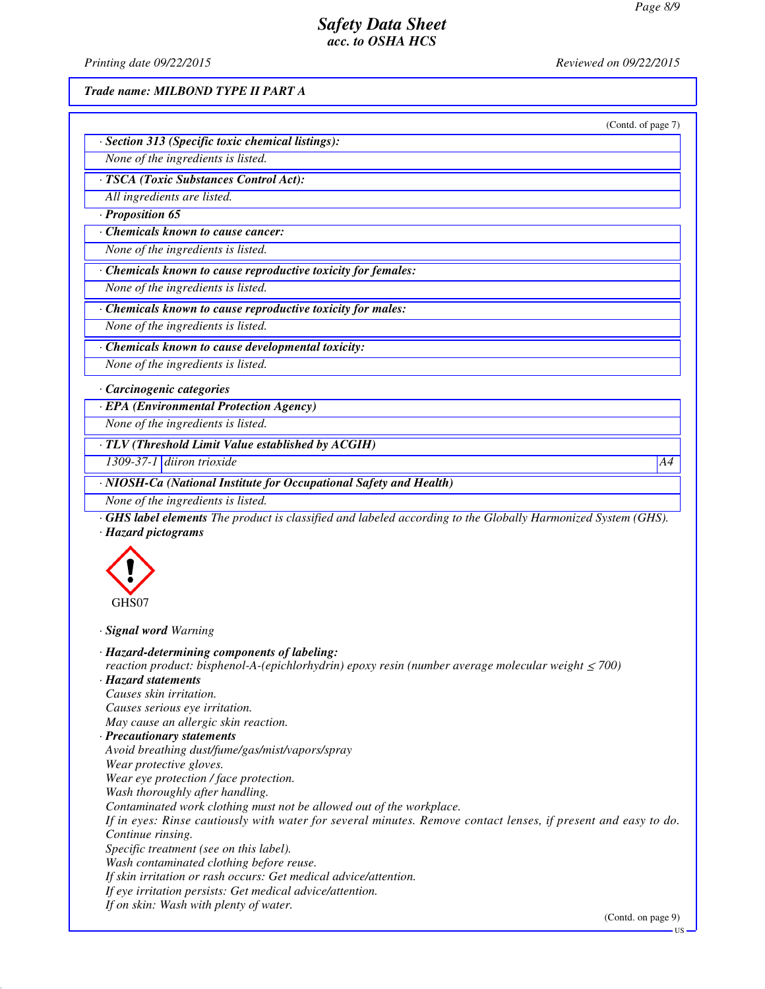*Printing date 09/22/2015 Reviewed on 09/22/2015*

*Trade name: MILBOND TYPE II PART A*

*· Section 313 (Specific toxic chemical listings):*

| (Contd. of page 7) |  |  |
|--------------------|--|--|

| None of the ingredients is listed.                            |
|---------------------------------------------------------------|
| · TSCA (Toxic Substances Control Act):                        |
| All ingredients are listed.                                   |
| $\cdot$ Proposition 65                                        |
| Chemicals known to cause cancer:                              |
| None of the ingredients is listed.                            |
| · Chemicals known to cause reproductive toxicity for females: |
| None of the ingredients is listed.                            |
| · Chemicals known to cause reproductive toxicity for males:   |
| None of the ingredients is listed.                            |
| $\cdot$ Chemicals known to cause developmental toxicity.      |

*· Chemicals known to cause developmental toxicity:*

*None of the ingredients is listed.*

*· Carcinogenic categories*

*· EPA (Environmental Protection Agency)*

*None of the ingredients is listed.*

*· TLV (Threshold Limit Value established by ACGIH)*

*1309-37-1 diiron trioxide A4*

*· NIOSH-Ca (National Institute for Occupational Safety and Health)*

*None of the ingredients is listed.*

*· GHS label elements The product is classified and labeled according to the Globally Harmonized System (GHS). · Hazard pictograms*



*· Signal word Warning*

*· Hazard-determining components of labeling: reaction product: bisphenol-A-(epichlorhydrin) epoxy resin (number average molecular weight ≤ 700) · Hazard statements Causes skin irritation. Causes serious eye irritation. May cause an allergic skin reaction. · Precautionary statements Avoid breathing dust/fume/gas/mist/vapors/spray Wear protective gloves. Wear eye protection / face protection. Wash thoroughly after handling. Contaminated work clothing must not be allowed out of the workplace. If in eyes: Rinse cautiously with water for several minutes. Remove contact lenses, if present and easy to do. Continue rinsing. Specific treatment (see on this label). Wash contaminated clothing before reuse. If skin irritation or rash occurs: Get medical advice/attention. If eye irritation persists: Get medical advice/attention. If on skin: Wash with plenty of water.*